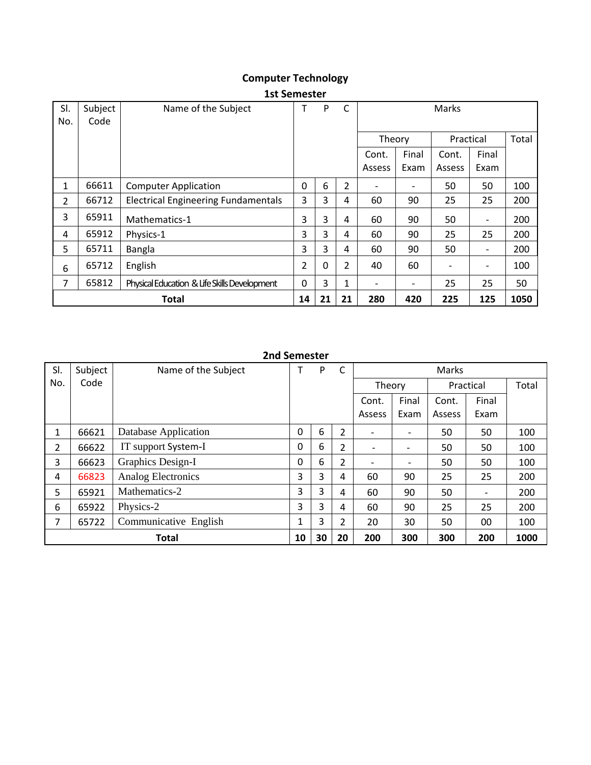# **Computer Technology**

| SI.            | Subject      | Name of the Subject                          | т | P | C  |        |       | Marks     |                          |       |
|----------------|--------------|----------------------------------------------|---|---|----|--------|-------|-----------|--------------------------|-------|
| No.            | Code         |                                              |   |   |    |        |       |           |                          |       |
|                |              |                                              |   |   |    | Theory |       | Practical |                          | Total |
|                |              |                                              |   |   |    | Cont.  | Final | Cont.     | Final                    |       |
|                |              |                                              |   |   |    | Assess | Exam  | Assess    | Exam                     |       |
| 1              | 66611        | <b>Computer Application</b>                  | 0 | 6 | 2  |        | -     | 50        | 50                       | 100   |
| $\overline{2}$ | 66712        | <b>Electrical Engineering Fundamentals</b>   | 3 | 3 | 4  | 60     | 90    | 25        | 25                       | 200   |
| 3              | 65911        | Mathematics-1                                | 3 | 3 | 4  | 60     | 90    | 50        | $\overline{\phantom{a}}$ | 200   |
| 4              | 65912        | Physics-1                                    | 3 | 3 | 4  | 60     | 90    | 25        | 25                       | 200   |
| 5              | 65711        | Bangla                                       | 3 | 3 | 4  | 60     | 90    | 50        |                          | 200   |
| 6              | 65712        | English                                      | 2 | 0 | 2  | 40     | 60    |           |                          | 100   |
| 7              | 65812        | Physical Education & Life Skills Development | 0 | 3 | 1  |        | -     | 25        | 25                       | 50    |
|                | <b>Total</b> |                                              |   |   | 21 | 280    | 420   | 225       | 125                      | 1050  |

### **1st Semester**

### **2nd Semester**

| SI.            | Subject      | Name of the Subject       |   | P  | C              |                          | Marks                    |           |                   |       |  |  |
|----------------|--------------|---------------------------|---|----|----------------|--------------------------|--------------------------|-----------|-------------------|-------|--|--|
| No.            | Code         |                           |   |    |                | Theory                   |                          | Practical |                   | Total |  |  |
|                |              |                           |   |    |                | Cont.                    | Final                    | Cont.     | Final             |       |  |  |
|                |              |                           |   |    |                | Assess                   | Exam                     | Assess    | Exam              |       |  |  |
|                | 66621        | Database Application      | 0 | 6  | $\overline{2}$ | $\overline{\phantom{0}}$ | $\overline{\phantom{a}}$ | 50        | 50                | 100   |  |  |
| $\overline{2}$ | 66622        | IT support System-I       | 0 | 6  | 2              | $\overline{\phantom{0}}$ |                          | 50        | 50                | 100   |  |  |
| 3              | 66623        | Graphics Design-I         | 0 | 6  | $\overline{2}$ | $\overline{\phantom{0}}$ | $\overline{\phantom{a}}$ | 50        | 50                | 100   |  |  |
| 4              | 66823        | <b>Analog Electronics</b> | 3 | 3  | 4              | 60                       | 90                       | 25        | 25                | 200   |  |  |
| 5              | 65921        | Mathematics-2             | 3 | 3  | 4              | 60                       | 90                       | 50        | $\qquad \qquad -$ | 200   |  |  |
| 6              | 65922        | Physics-2                 | 3 | 3  | 4              | 60                       | 90                       | 25        | 25                | 200   |  |  |
| 7              | 65722        | Communicative English     | 1 | 3  | $\overline{2}$ | 20                       | 30                       | 50        | 00                | 100   |  |  |
|                | <b>Total</b> |                           |   | 30 | 20             | 200                      | 300                      | 300       | 200               | 1000  |  |  |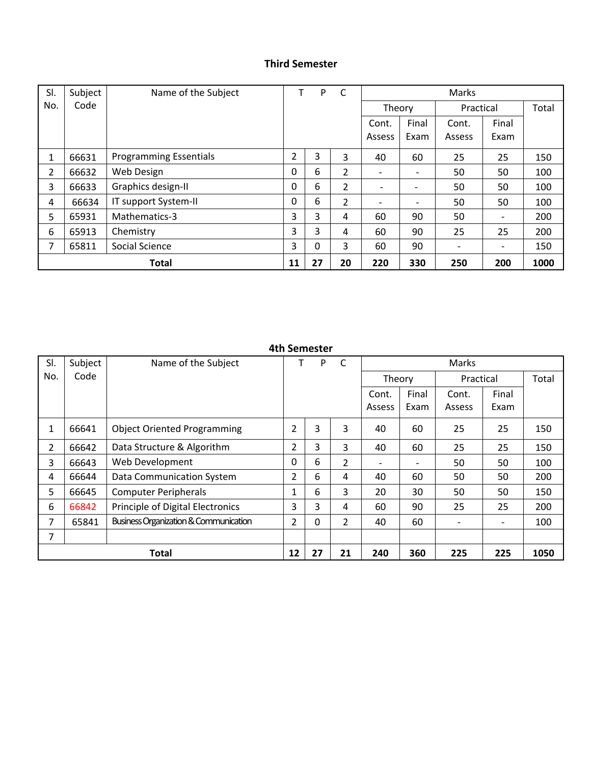### **Third Semester**

| SI. | Subject | Name of the Subject           |    | P  | C  | Marks                    |                          |           |       |       |
|-----|---------|-------------------------------|----|----|----|--------------------------|--------------------------|-----------|-------|-------|
| No. | Code    |                               |    |    |    | Theory                   |                          | Practical |       | Total |
|     |         |                               |    |    |    | Cont.                    | Final                    | Cont.     | Final |       |
|     |         |                               |    |    |    | Assess                   | Exam                     | Assess    | Exam  |       |
|     | 66631   | <b>Programming Essentials</b> | 2  | 3  | 3  | 40                       | 60                       | 25        | 25    | 150   |
| 2   | 66632   | Web Design                    | 0  | 6  | 2  | $\overline{\phantom{a}}$ | -                        | 50        | 50    | 100   |
| 3   | 66633   | Graphics design-II            | 0  | 6  | 2  | $\qquad \qquad$          | $\overline{\phantom{a}}$ | 50        | 50    | 100   |
| 4   | 66634   | IT support System-II          | 0  | 6  | 2  | $\overline{\phantom{a}}$ | $\overline{\phantom{0}}$ | 50        | 50    | 100   |
| 5   | 65931   | Mathematics-3                 | 3  | 3  | 4  | 60                       | 90                       | 50        | -     | 200   |
| 6   | 65913   | Chemistry                     | 3  | 3  | 4  | 60                       | 90                       | 25        | 25    | 200   |
| 7   | 65811   | Social Science                | 3  | 0  | 3  | 60                       | 90                       |           | -     | 150   |
|     |         | <b>Total</b>                  | 11 | 27 | 20 | 220                      | 330                      | 250       | 200   | 1000  |

| SI.            | Subject | Name of the Subject                              | т              | P  | $\mathsf{C}$   |                |       | Marks     |       |       |
|----------------|---------|--------------------------------------------------|----------------|----|----------------|----------------|-------|-----------|-------|-------|
| No.            | Code    |                                                  |                |    |                | Theory         |       | Practical |       | Total |
|                |         |                                                  |                |    |                | Cont.          | Final | Cont.     | Final |       |
|                |         |                                                  |                |    |                | Assess         | Exam  | Assess    | Exam  |       |
| 1              | 66641   | <b>Object Oriented Programming</b>               | $\overline{2}$ | 3  | 3              | 40             | 60    | 25        | 25    | 150   |
| $\overline{2}$ | 66642   | Data Structure & Algorithm                       | 2              | 3  | 3              | 40             | 60    | 25        | 25    | 150   |
| 3              | 66643   | Web Development                                  | 0              | 6  | $\overline{2}$ | $\overline{a}$ |       | 50        | 50    | 100   |
| 4              | 66644   | Data Communication System                        | $\overline{2}$ | 6  | 4              | 40             | 60    | 50        | 50    | 200   |
| 5              | 66645   | <b>Computer Peripherals</b>                      | $\mathbf{1}$   | 6  | 3              | 20             | 30    | 50        | 50    | 150   |
| 6              | 66842   | Principle of Digital Electronics                 | 3              | 3  | 4              | 60             | 90    | 25        | 25    | 200   |
| $\overline{7}$ | 65841   | <b>Business Organization &amp; Communication</b> | 2              | 0  | 2              | 40             | 60    |           | -     | 100   |
| 7              |         |                                                  |                |    |                |                |       |           |       |       |
|                |         | <b>Total</b>                                     | 12             | 27 | 21             | 240            | 360   | 225       | 225   | 1050  |

#### **4th Semester**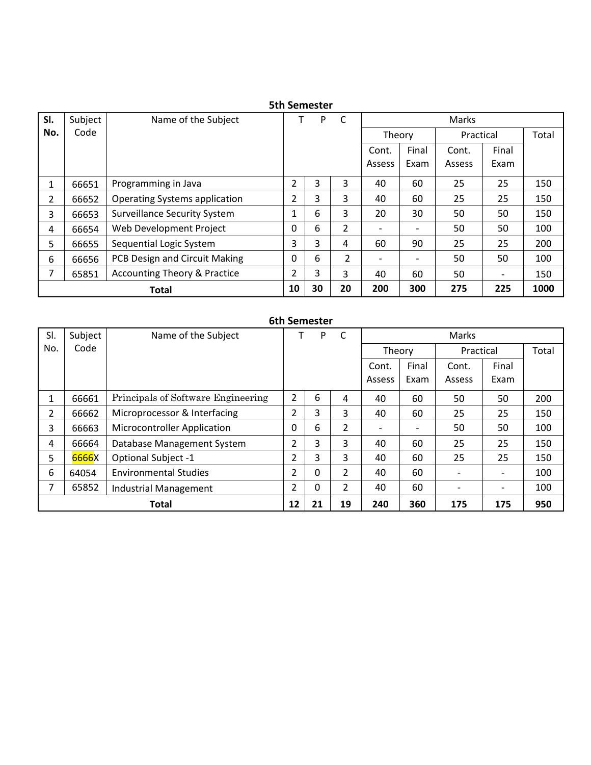|                | <b>SUI SEINESLEI</b> |                                         |    |    |                |                          |               |                 |                          |       |  |  |  |  |
|----------------|----------------------|-----------------------------------------|----|----|----------------|--------------------------|---------------|-----------------|--------------------------|-------|--|--|--|--|
| SI.            | Subject              | Name of the Subject                     |    | P  | $\mathsf{C}$   |                          |               | Marks           |                          |       |  |  |  |  |
| No.            | Code                 |                                         |    |    |                | Theory                   |               | Practical       |                          | Total |  |  |  |  |
|                |                      |                                         |    |    |                | Cont.<br>Assess          | Final<br>Exam | Cont.<br>Assess | Final<br>Exam            |       |  |  |  |  |
|                |                      |                                         |    |    |                |                          |               |                 |                          |       |  |  |  |  |
|                | 66651                | Programming in Java                     | 2  | 3  | 3              | 40                       | 60            | 25              | 25                       | 150   |  |  |  |  |
| $\overline{2}$ | 66652                | <b>Operating Systems application</b>    | 2  | 3  | 3              | 40                       | 60            | 25              | 25                       | 150   |  |  |  |  |
| 3              | 66653                | <b>Surveillance Security System</b>     | 1  | 6  | 3              | 20                       | 30            | 50              | 50                       | 150   |  |  |  |  |
| 4              | 66654                | Web Development Project                 | 0  | 6  | $\overline{2}$ |                          |               | 50              | 50                       | 100   |  |  |  |  |
| 5              | 66655                | Sequential Logic System                 | 3  | 3  | 4              | 60                       | 90            | 25              | 25                       | 200   |  |  |  |  |
| 6              | 66656                | PCB Design and Circuit Making           | 0  | 6  | 2              | $\overline{\phantom{a}}$ |               | 50              | 50                       | 100   |  |  |  |  |
| 7              | 65851                | <b>Accounting Theory &amp; Practice</b> | 2  | 3  | 3              | 40                       | 60            | 50              | $\overline{\phantom{a}}$ | 150   |  |  |  |  |
|                |                      | <b>Total</b>                            | 10 | 30 | 20             | 200                      | 300           | 275             | 225                      | 1000  |  |  |  |  |

# **5th Semester**

## **6th Semester**

| SI.            | Subject      | Name of the Subject                |          | P<br>C<br>Marks |                |                          |       |           |       |       |
|----------------|--------------|------------------------------------|----------|-----------------|----------------|--------------------------|-------|-----------|-------|-------|
| No.            | Code         |                                    |          |                 |                | Theory                   |       | Practical |       | Total |
|                |              |                                    |          |                 |                | Cont.                    | Final | Cont.     | Final |       |
|                |              |                                    |          |                 |                | Assess                   | Exam  | Assess    | Exam  |       |
| 1              | 66661        | Principals of Software Engineering | 2        | 6               | 4              | 40                       | 60    | 50        | 50    | 200   |
| $\overline{2}$ | 66662        | Microprocessor & Interfacing       | 2        | 3               | 3              | 40                       | 60    | 25        | 25    | 150   |
| 3              | 66663        | <b>Microcontroller Application</b> | $\Omega$ | 6               | $\overline{2}$ | $\overline{\phantom{0}}$ |       | 50        | 50    | 100   |
| 4              | 66664        | Database Management System         | 2        | 3               | 3              | 40                       | 60    | 25        | 25    | 150   |
| 5.             | 6666X        | <b>Optional Subject -1</b>         | 2        | 3               | 3              | 40                       | 60    | 25        | 25    | 150   |
| 6              | 64054        | <b>Environmental Studies</b>       | 2        | 0               | 2              | 40                       | 60    |           |       | 100   |
| 7              | 65852        | <b>Industrial Management</b>       | 2        | 0               | 2              | 40                       | 60    |           | -     | 100   |
|                | <b>Total</b> |                                    |          | 21              | 19             | 240                      | 360   | 175       | 175   | 950   |